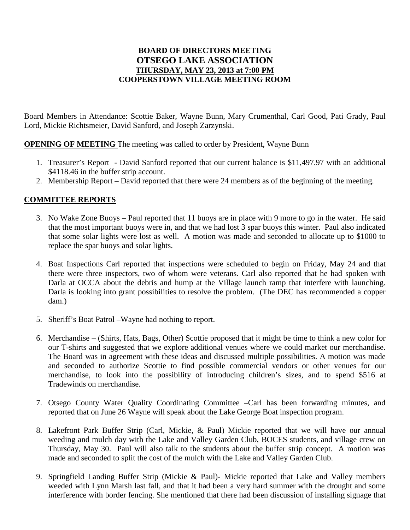## **BOARD OF DIRECTORS MEETING OTSEGO LAKE ASSOCIATION THURSDAY, MAY 23, 2013 at 7:00 PM COOPERSTOWN VILLAGE MEETING ROOM**

Board Members in Attendance: Scottie Baker, Wayne Bunn, Mary Crumenthal, Carl Good, Pati Grady, Paul Lord, Mickie Richtsmeier, David Sanford, and Joseph Zarzynski.

**OPENING OF MEETING** The meeting was called to order by President, Wayne Bunn

- 1. Treasurer's Report David Sanford reported that our current balance is \$11,497.97 with an additional \$4118.46 in the buffer strip account.
- 2. Membership Report David reported that there were 24 members as of the beginning of the meeting.

## **COMMITTEE REPORTS**

- 3. No Wake Zone Buoys Paul reported that 11 buoys are in place with 9 more to go in the water. He said that the most important buoys were in, and that we had lost 3 spar buoys this winter. Paul also indicated that some solar lights were lost as well. A motion was made and seconded to allocate up to \$1000 to replace the spar buoys and solar lights.
- 4. Boat Inspections Carl reported that inspections were scheduled to begin on Friday, May 24 and that there were three inspectors, two of whom were veterans. Carl also reported that he had spoken with Darla at OCCA about the debris and hump at the Village launch ramp that interfere with launching. Darla is looking into grant possibilities to resolve the problem. (The DEC has recommended a copper dam.)
- 5. Sheriff's Boat Patrol –Wayne had nothing to report.
- 6. Merchandise (Shirts, Hats, Bags, Other) Scottie proposed that it might be time to think a new color for our T-shirts and suggested that we explore additional venues where we could market our merchandise. The Board was in agreement with these ideas and discussed multiple possibilities. A motion was made and seconded to authorize Scottie to find possible commercial vendors or other venues for our merchandise, to look into the possibility of introducing children's sizes, and to spend \$516 at Tradewinds on merchandise.
- 7. Otsego County Water Quality Coordinating Committee –Carl has been forwarding minutes, and reported that on June 26 Wayne will speak about the Lake George Boat inspection program.
- 8. Lakefront Park Buffer Strip (Carl, Mickie, & Paul) Mickie reported that we will have our annual weeding and mulch day with the Lake and Valley Garden Club, BOCES students, and village crew on Thursday, May 30. Paul will also talk to the students about the buffer strip concept. A motion was made and seconded to split the cost of the mulch with the Lake and Valley Garden Club.
- 9. Springfield Landing Buffer Strip (Mickie & Paul)- Mickie reported that Lake and Valley members weeded with Lynn Marsh last fall, and that it had been a very hard summer with the drought and some interference with border fencing. She mentioned that there had been discussion of installing signage that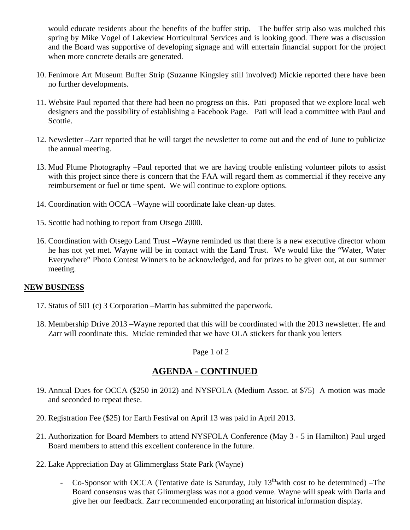would educate residents about the benefits of the buffer strip. The buffer strip also was mulched this spring by Mike Vogel of Lakeview Horticultural Services and is looking good. There was a discussion and the Board was supportive of developing signage and will entertain financial support for the project when more concrete details are generated.

- 10. Fenimore Art Museum Buffer Strip (Suzanne Kingsley still involved) Mickie reported there have been no further developments.
- 11. Website Paul reported that there had been no progress on this. Pati proposed that we explore local web designers and the possibility of establishing a Facebook Page. Pati will lead a committee with Paul and Scottie.
- 12. Newsletter –Zarr reported that he will target the newsletter to come out and the end of June to publicize the annual meeting.
- 13. Mud Plume Photography –Paul reported that we are having trouble enlisting volunteer pilots to assist with this project since there is concern that the FAA will regard them as commercial if they receive any reimbursement or fuel or time spent. We will continue to explore options.
- 14. Coordination with OCCA –Wayne will coordinate lake clean-up dates.
- 15. Scottie had nothing to report from Otsego 2000.
- 16. Coordination with Otsego Land Trust –Wayne reminded us that there is a new executive director whom he has not yet met. Wayne will be in contact with the Land Trust. We would like the "Water, Water Everywhere" Photo Contest Winners to be acknowledged, and for prizes to be given out, at our summer meeting.

## **NEW BUSINESS**

- 17. Status of 501 (c) 3 Corporation –Martin has submitted the paperwork.
- 18. Membership Drive 2013 –Wayne reported that this will be coordinated with the 2013 newsletter. He and Zarr will coordinate this. Mickie reminded that we have OLA stickers for thank you letters

Page 1 of 2

## **AGENDA - CONTINUED**

- 19. Annual Dues for OCCA (\$250 in 2012) and NYSFOLA (Medium Assoc. at \$75) A motion was made and seconded to repeat these.
- 20. Registration Fee (\$25) for Earth Festival on April 13 was paid in April 2013.
- 21. Authorization for Board Members to attend NYSFOLA Conference (May 3 5 in Hamilton) Paul urged Board members to attend this excellent conference in the future.
- 22. Lake Appreciation Day at Glimmerglass State Park (Wayne)
	- Co-Sponsor with OCCA (Tentative date is Saturday, July  $13^{\text{th}}$  with cost to be determined) –The Board consensus was that Glimmerglass was not a good venue. Wayne will speak with Darla and give her our feedback. Zarr recommended encorporating an historical information display.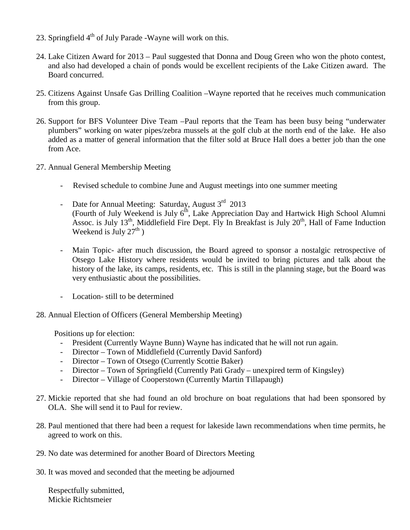- 23. Springfield  $4<sup>th</sup>$  of July Parade -Wayne will work on this.
- 24. Lake Citizen Award for 2013 Paul suggested that Donna and Doug Green who won the photo contest, and also had developed a chain of ponds would be excellent recipients of the Lake Citizen award. The Board concurred.
- 25. Citizens Against Unsafe Gas Drilling Coalition –Wayne reported that he receives much communication from this group.
- 26. Support for BFS Volunteer Dive Team –Paul reports that the Team has been busy being "underwater plumbers" working on water pipes/zebra mussels at the golf club at the north end of the lake. He also added as a matter of general information that the filter sold at Bruce Hall does a better job than the one from Ace.
- 27. Annual General Membership Meeting
	- Revised schedule to combine June and August meetings into one summer meeting
	- Date for Annual Meeting: Saturday, August  $3<sup>rd</sup>$  2013 (Fourth of July Weekend is July  $6<sup>th</sup>$ , Lake Appreciation Day and Hartwick High School Alumni Assoc. is July  $13<sup>th</sup>$ , Middlefield Fire Dept. Fly In Breakfast is July  $20<sup>th</sup>$ , Hall of Fame Induction Weekend is July  $27<sup>th</sup>$ )
	- Main Topic- after much discussion, the Board agreed to sponsor a nostalgic retrospective of Otsego Lake History where residents would be invited to bring pictures and talk about the history of the lake, its camps, residents, etc. This is still in the planning stage, but the Board was very enthusiastic about the possibilities.
	- Location- still to be determined
- 28. Annual Election of Officers (General Membership Meeting)

Positions up for election:

- President (Currently Wayne Bunn) Wayne has indicated that he will not run again.
- Director Town of Middlefield (Currently David Sanford)
- Director Town of Otsego (Currently Scottie Baker)
- Director Town of Springfield (Currently Pati Grady unexpired term of Kingsley)
- Director Village of Cooperstown (Currently Martin Tillapaugh)
- 27. Mickie reported that she had found an old brochure on boat regulations that had been sponsored by OLA. She will send it to Paul for review.
- 28. Paul mentioned that there had been a request for lakeside lawn recommendations when time permits, he agreed to work on this.
- 29. No date was determined for another Board of Directors Meeting
- 30. It was moved and seconded that the meeting be adjourned

Respectfully submitted, Mickie Richtsmeier